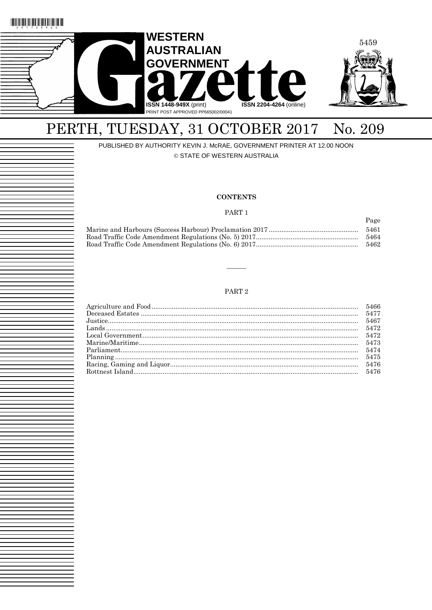

# PERTH, TUESDAY, 31 OCTOBER 2017 No. 209

PUBLISHED BY AUTHORITY KEVIN J. McRAE, GOVERNMENT PRINTER AT 12.00 NOON

© STATE OF WESTERN AUSTRALIA

#### **CONTENTS**

#### PART 1

Page

| 5461 |
|------|
| 5464 |
| 5462 |

# PART $2$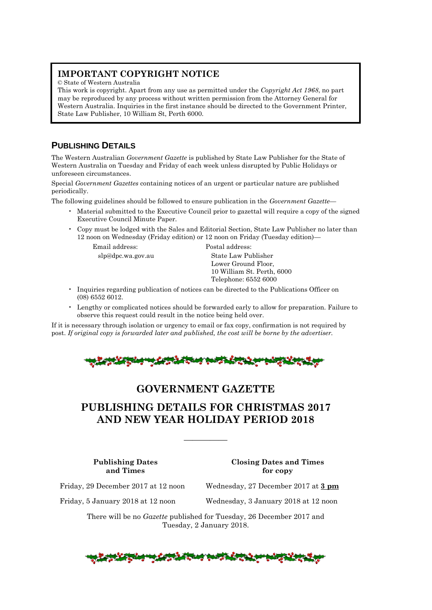# **IMPORTANT COPYRIGHT NOTICE**

© State of Western Australia

This work is copyright. Apart from any use as permitted under the *Copyright Act 1968*, no part may be reproduced by any process without written permission from the Attorney General for Western Australia. Inquiries in the first instance should be directed to the Government Printer, State Law Publisher, 10 William St, Perth 6000.

# **PUBLISHING DETAILS**

The Western Australian *Government Gazette* is published by State Law Publisher for the State of Western Australia on Tuesday and Friday of each week unless disrupted by Public Holidays or unforeseen circumstances.

Special *Government Gazettes* containing notices of an urgent or particular nature are published periodically.

The following guidelines should be followed to ensure publication in the *Government Gazette*—

- Material submitted to the Executive Council prior to gazettal will require a copy of the signed Executive Council Minute Paper.
- Copy must be lodged with the Sales and Editorial Section, State Law Publisher no later than 12 noon on Wednesday (Friday edition) or 12 noon on Friday (Tuesday edition)—

Email address: Postal address:

slp@dpc.wa.gov.au State Law Publisher Lower Ground Floor, 10 William St. Perth, 6000 Telephone: 6552 6000

- Inquiries regarding publication of notices can be directed to the Publications Officer on (08) 6552 6012.
- Lengthy or complicated notices should be forwarded early to allow for preparation. Failure to observe this request could result in the notice being held over.

If it is necessary through isolation or urgency to email or fax copy, confirmation is not required by post. *If original copy is forwarded later and published, the cost will be borne by the advertiser.*



# **GOVERNMENT GAZETTE**

# **PUBLISHING DETAILS FOR CHRISTMAS 2017 AND NEW YEAR HOLIDAY PERIOD 2018**

—————

**Publishing Dates Closing Dates and Times and Times for copy**

Friday, 29 December 2017 at 12 noon Wednesday, 27 December 2017 at **3 pm**

Friday, 5 January 2018 at 12 noon Wednesday, 3 January 2018 at 12 noon

There will be no *Gazette* published for Tuesday, 26 December 2017 and Tuesday, 2 January 2018.

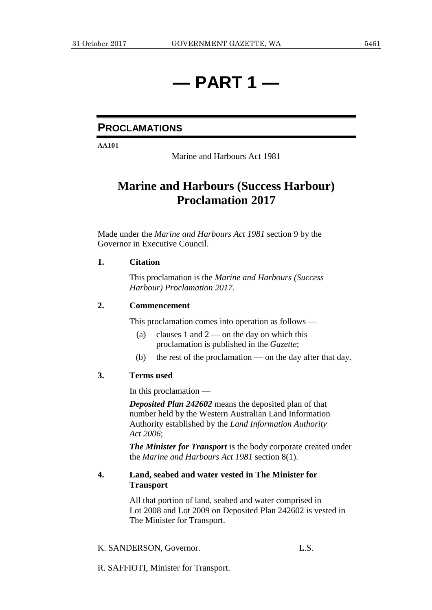# **— PART 1 —**

# **PROCLAMATIONS**

**AA101**

Marine and Harbours Act 1981

# **Marine and Harbours (Success Harbour) Proclamation 2017**

Made under the *Marine and Harbours Act 1981* section 9 by the Governor in Executive Council.

# **1. Citation**

This proclamation is the *Marine and Harbours (Success Harbour) Proclamation 2017*.

# **2. Commencement**

This proclamation comes into operation as follows —

- (a) clauses 1 and  $2$  on the day on which this proclamation is published in the *Gazette*;
- (b) the rest of the proclamation on the day after that day.

# **3. Terms used**

In this proclamation —

*Deposited Plan 242602* means the deposited plan of that number held by the Western Australian Land Information Authority established by the *Land Information Authority Act 2006*;

*The Minister for Transport* is the body corporate created under the *Marine and Harbours Act 1981* section 8(1).

# **4. Land, seabed and water vested in The Minister for Transport**

All that portion of land, seabed and water comprised in Lot 2008 and Lot 2009 on Deposited Plan 242602 is vested in The Minister for Transport.

# K. SANDERSON, Governor. L.S.

R. SAFFIOTI, Minister for Transport.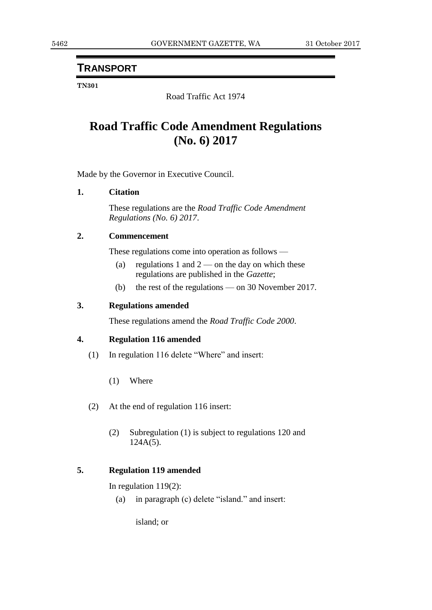# **TRANSPORT**

# **TN301**

Road Traffic Act 1974

# **Road Traffic Code Amendment Regulations (No. 6) 2017**

Made by the Governor in Executive Council.

# **1. Citation**

These regulations are the *Road Traffic Code Amendment Regulations (No. 6) 2017*.

# **2. Commencement**

These regulations come into operation as follows —

- (a) regulations 1 and  $2$  on the day on which these regulations are published in the *Gazette*;
- (b) the rest of the regulations on 30 November 2017.

# **3. Regulations amended**

These regulations amend the *Road Traffic Code 2000*.

# **4. Regulation 116 amended**

- (1) In regulation 116 delete "Where" and insert:
	- (1) Where
- (2) At the end of regulation 116 insert:
	- (2) Subregulation (1) is subject to regulations 120 and  $124A(5)$ .

# **5. Regulation 119 amended**

In regulation 119(2):

(a) in paragraph (c) delete "island." and insert:

island; or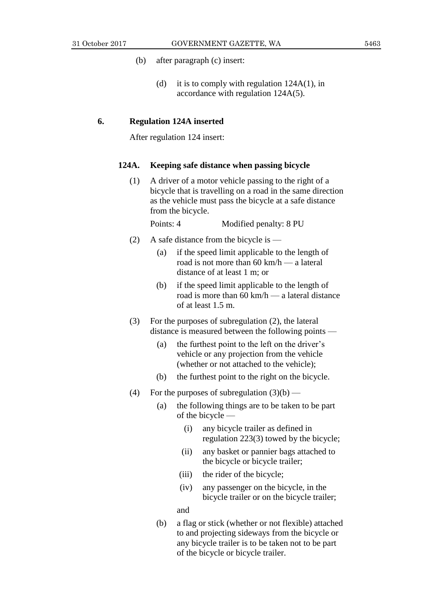- (b) after paragraph (c) insert:
	- (d) it is to comply with regulation 124A(1), in accordance with regulation 124A(5).

### **6. Regulation 124A inserted**

After regulation 124 insert:

### **124A. Keeping safe distance when passing bicycle**

(1) A driver of a motor vehicle passing to the right of a bicycle that is travelling on a road in the same direction as the vehicle must pass the bicycle at a safe distance from the bicycle.

Points: 4 Modified penalty: 8 PU

- (2) A safe distance from the bicycle is
	- (a) if the speed limit applicable to the length of road is not more than 60 km/h — a lateral distance of at least 1 m; or
	- (b) if the speed limit applicable to the length of road is more than 60 km/h — a lateral distance of at least 1.5 m.
- (3) For the purposes of subregulation (2), the lateral distance is measured between the following points —
	- (a) the furthest point to the left on the driver's vehicle or any projection from the vehicle (whether or not attached to the vehicle);
	- (b) the furthest point to the right on the bicycle.
- (4) For the purposes of subregulation  $(3)(b)$ 
	- (a) the following things are to be taken to be part of the bicycle —
		- (i) any bicycle trailer as defined in regulation 223(3) towed by the bicycle;
		- (ii) any basket or pannier bags attached to the bicycle or bicycle trailer;
		- (iii) the rider of the bicycle;
		- (iv) any passenger on the bicycle, in the bicycle trailer or on the bicycle trailer;

and

(b) a flag or stick (whether or not flexible) attached to and projecting sideways from the bicycle or any bicycle trailer is to be taken not to be part of the bicycle or bicycle trailer.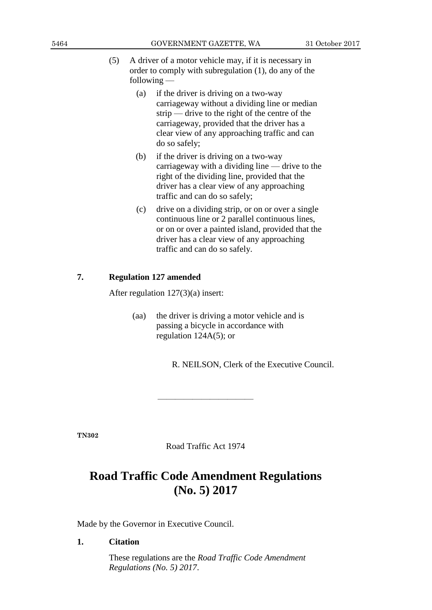- (5) A driver of a motor vehicle may, if it is necessary in order to comply with subregulation (1), do any of the following —
	- (a) if the driver is driving on a two-way carriageway without a dividing line or median strip — drive to the right of the centre of the carriageway, provided that the driver has a clear view of any approaching traffic and can do so safely;
	- (b) if the driver is driving on a two-way carriageway with a dividing line — drive to the right of the dividing line, provided that the driver has a clear view of any approaching traffic and can do so safely;
	- (c) drive on a dividing strip, or on or over a single continuous line or 2 parallel continuous lines, or on or over a painted island, provided that the driver has a clear view of any approaching traffic and can do so safely.

# **7. Regulation 127 amended**

After regulation 127(3)(a) insert:

(aa) the driver is driving a motor vehicle and is passing a bicycle in accordance with regulation 124A(5); or

R. NEILSON, Clerk of the Executive Council.

**TN302**

Road Traffic Act 1974

———————————

# **Road Traffic Code Amendment Regulations (No. 5) 2017**

Made by the Governor in Executive Council.

### **1. Citation**

These regulations are the *Road Traffic Code Amendment Regulations (No. 5) 2017*.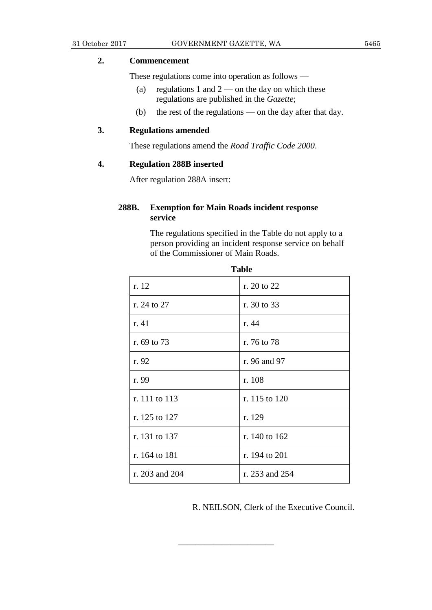# **2. Commencement**

These regulations come into operation as follows —

- (a) regulations 1 and  $2$  on the day on which these regulations are published in the *Gazette*;
- (b) the rest of the regulations on the day after that day.

# **3. Regulations amended**

These regulations amend the *Road Traffic Code 2000*.

# **4. Regulation 288B inserted**

After regulation 288A insert:

# **288B. Exemption for Main Roads incident response service**

The regulations specified in the Table do not apply to a person providing an incident response service on behalf of the Commissioner of Main Roads.

| 1 avit         |                |  |  |
|----------------|----------------|--|--|
| r. 12          | r. 20 to 22    |  |  |
| r. 24 to 27    | r. 30 to 33    |  |  |
| r. 41          | r. 44          |  |  |
| r. 69 to 73    | r. 76 to 78    |  |  |
| r. 92          | r. 96 and 97   |  |  |
| r. 99          | r. 108         |  |  |
| r. 111 to 113  | r. 115 to 120  |  |  |
| r. 125 to 127  | r. 129         |  |  |
| r. 131 to 137  | r. 140 to 162  |  |  |
| r. 164 to 181  | r. 194 to 201  |  |  |
| r. 203 and 204 | r. 253 and 254 |  |  |

———————————

**Table**

R. NEILSON, Clerk of the Executive Council.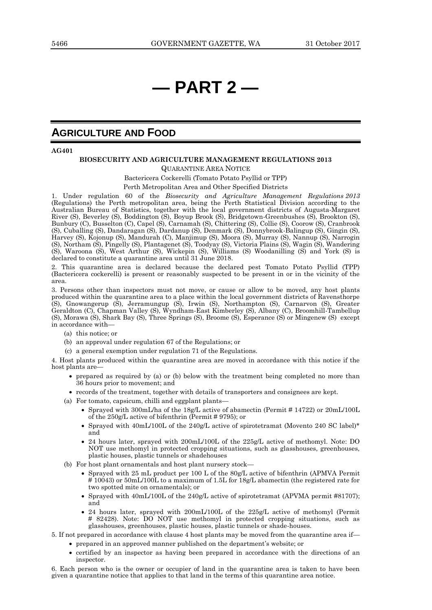# **— PART 2 —**

# **AGRICULTURE AND FOOD**

**AG401**

# **BIOSECURITY AND AGRICULTURE MANAGEMENT REGULATIONS 2013**

QUARANTINE AREA NOTICE

Bactericera Cockerelli (Tomato Potato Psyllid or TPP)

Perth Metropolitan Area and Other Specified Districts

1. Under regulation 60 of the *Biosecurity and Agriculture Management Regulations 2013*  (Regulations) the Perth metropolitan area, being the Perth Statistical Division according to the Australian Bureau of Statistics, together with the local government districts of Augusta-Margaret River (S), Beverley (S), Boddington (S), Boyup Brook (S), Bridgetown-Greenbushes (S), Brookton (S), Bunbury (C), Busselton (C), Capel (S), Carnamah (S), Chittering (S), Collie (S), Coorow (S), Cranbrook (S), Cuballing (S), Dandaragan (S), Dardanup (S), Denmark (S), Donnybrook-Balingup (S), Gingin (S), Harvey (S), Kojonup (S), Mandurah (C), Manjimup (S), Moora (S), Murray (S), Nannup (S), Narrogin (S), Northam (S), Pingelly (S), Plantagenet (S), Toodyay (S), Victoria Plains (S), Wagin (S), Wandering (S), Waroona (S), West Arthur (S), Wickepin (S), Williams (S) Woodanilling (S) and York (S) is declared to constitute a quarantine area until 31 June 2018.

2. This quarantine area is declared because the declared pest Tomato Potato Psyllid (TPP) (Bactericera cockerelli) is present or reasonably suspected to be present in or in the vicinity of the area.

3. Persons other than inspectors must not move, or cause or allow to be moved, any host plants produced within the quarantine area to a place within the local government districts of Ravensthorpe (S), Gnowangerup (S), Jerramungup (S), Irwin (S), Northampton (S), Carnarvon (S), Greater Geraldton (C), Chapman Valley (S), Wyndham-East Kimberley (S), Albany (C), Broomhill-Tambellup (S), Morawa (S), Shark Bay (S), Three Springs (S), Broome (S), Esperance (S) or Mingenew (S) except in accordance with—

- (a) this notice; or
- (b) an approval under regulation 67 of the Regulations; or
- (c) a general exemption under regulation 71 of the Regulations.

4. Host plants produced within the quarantine area are moved in accordance with this notice if the host plants are—

- prepared as required by (a) or (b) below with the treatment being completed no more than 36 hours prior to movement; and
- records of the treatment, together with details of transporters and consignees are kept.
- (a) For tomato, capsicum, chilli and eggplant plants—
	- Sprayed with 300mL/ha of the 18g/L active of abamectin (Permit # 14722) or 20mL/100L of the 250g/L active of bifenthrin (Permit # 9795); or
	- Sprayed with 40mL/100L of the 240g/L active of spirotetramat (Movento 240 SC label)\* and
	- 24 hours later, sprayed with 200mL/100L of the 225g/L active of methomyl. Note: DO NOT use methomyl in protected cropping situations, such as glasshouses, greenhouses, plastic houses, plastic tunnels or shadehouses
- (b) For host plant ornamentals and host plant nursery stock—
	- Sprayed with 25 mL product per 100 L of the 80g/L active of bifenthrin (APMVA Permit # 10043) or 50mL/100L to a maximum of 1.5L for 18g/L abamectin (the registered rate for two spotted mite on ornamentals); or
	- Sprayed with 40mL/100L of the 240g/L active of spirotetramat (APVMA permit #81707); and
	- 24 hours later, sprayed with 200mL/100L of the 225g/L active of methomyl (Permit # 82428). Note: DO NOT use methomyl in protected cropping situations, such as glasshouses, greenhouses, plastic houses, plastic tunnels or shade-houses.
- 5. If not prepared in accordance with clause 4 host plants may be moved from the quarantine area if prepared in an approved manner published on the department's website; or
	- certified by an inspector as having been prepared in accordance with the directions of an inspector.

6. Each person who is the owner or occupier of land in the quarantine area is taken to have been given a quarantine notice that applies to that land in the terms of this quarantine area notice.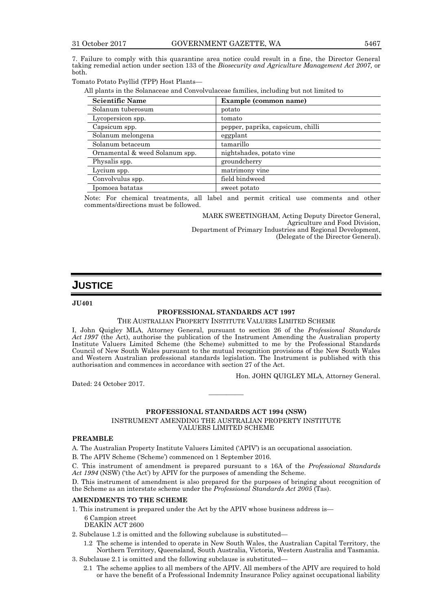7. Failure to comply with this quarantine area notice could result in a fine, the Director General taking remedial action under section 133 of the *Biosecurity and Agriculture Management Act 2007,* or both.

Tomato Potato Psyllid (TPP) Host Plants—

All plants in the Solanaceae and Convolvulaceae families, including but not limited to

| <b>Scientific Name</b>         | Example (common name)             |
|--------------------------------|-----------------------------------|
| Solanum tuberosum              | potato                            |
| Lycopersicon spp.              | tomato                            |
| Capsicum spp.                  | pepper, paprika, capsicum, chilli |
| Solanum melongena              | eggplant                          |
| Solanum betaceum               | tamarillo                         |
| Ornamental & weed Solanum spp. | nightshades, potato vine          |
| Physalis spp.                  | groundcherry                      |
| Lycium spp.                    | matrimony vine                    |
| Convolvulus spp.               | field bindweed                    |
| Ipomoea batatas                | sweet potato                      |

Note: For chemical treatments, all label and permit critical use comments and other comments/directions must be followed.

> MARK SWEETINGHAM, Acting Deputy Director General, Agriculture and Food Division, Department of Primary Industries and Regional Development, (Delegate of the Director General).

# **JUSTICE**

**JU401**

#### **PROFESSIONAL STANDARDS ACT 1997**

#### THE AUSTRALIAN PROPERTY INSTITUTE VALUERS LIMITED SCHEME

I, John Quigley MLA, Attorney General, pursuant to section 26 of the *Professional Standards Act 1997* (the Act), authorise the publication of the Instrument Amending the Australian property Institute Valuers Limited Scheme (the Scheme) submitted to me by the Professional Standards Council of New South Wales pursuant to the mutual recognition provisions of the New South Wales and Western Australian professional standards legislation. The Instrument is published with this authorisation and commences in accordance with section 27 of the Act.

Hon. JOHN QUIGLEY MLA, Attorney General.

Dated: 24 October 2017.

#### **PROFESSIONAL STANDARDS ACT 1994 (NSW)**

————

#### INSTRUMENT AMENDING THE AUSTRALIAN PROPERTY INSTITUTE VALUERS LIMITED SCHEME

#### **PREAMBLE**

A. The Australian Property Institute Valuers Limited ('APIV') is an occupational association.

B. The APIV Scheme ('Scheme') commenced on 1 September 2016.

C. This instrument of amendment is prepared pursuant to s 16A of the *Professional Standards Act 1994* (NSW) ('the Act') by APIV for the purposes of amending the Scheme.

D. This instrument of amendment is also prepared for the purposes of bringing about recognition of the Scheme as an interstate scheme under the *Professional Standards Act 2005* (Tas).

#### **AMENDMENTS TO THE SCHEME**

1. This instrument is prepared under the Act by the APIV whose business address is—

6 Campion street

DEAKIN ACT 2600

2. Subclause 1.2 is omitted and the following subclause is substituted—

- 1.2 The scheme is intended to operate in New South Wales, the Australian Capital Territory, the Northern Territory, Queensland, South Australia, Victoria, Western Australia and Tasmania.
- 3. Subclause 2.1 is omitted and the following subclause is substituted—
	- 2.1 The scheme applies to all members of the APIV. All members of the APIV are required to hold or have the benefit of a Professional Indemnity Insurance Policy against occupational liability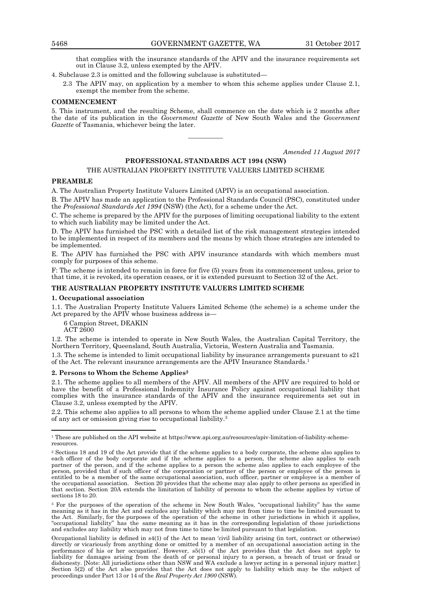that complies with the insurance standards of the APIV and the insurance requirements set out in Clause 3.2, unless exempted by the APIV.

4. Subclause 2.3 is omitted and the following subclause is substituted—

2.3 The APIV may, on application by a member to whom this scheme applies under Clause 2.1, exempt the member from the scheme.

#### **COMMENCEMENT**

5. This instrument, and the resulting Scheme, shall commence on the date which is 2 months after the date of its publication in the *Government Gazette* of New South Wales and the *Government Gazette* of Tasmania, whichever being the later.

————

*Amended 11 August 2017* 

#### **PROFESSIONAL STANDARDS ACT 1994 (NSW)**

#### THE AUSTRALIAN PROPERTY INSTITUTE VALUERS LIMITED SCHEME

#### **PREAMBLE**

A. The Australian Property Institute Valuers Limited (APIV) is an occupational association.

B. The APIV has made an application to the Professional Standards Council (PSC), constituted under the *Professional Standards Act 1994* (NSW) (the Act), for a scheme under the Act.

C. The scheme is prepared by the APIV for the purposes of limiting occupational liability to the extent to which such liability may be limited under the Act.

D. The APIV has furnished the PSC with a detailed list of the risk management strategies intended to be implemented in respect of its members and the means by which those strategies are intended to be implemented.

E. The APIV has furnished the PSC with APIV insurance standards with which members must comply for purposes of this scheme.

F: The scheme is intended to remain in force for five (5) years from its commencement unless, prior to that time, it is revoked, its operation ceases, or it is extended pursuant to Section 32 of the Act.

#### **THE AUSTRALIAN PROPERTY INSTITUTE VALUERS LIMITED SCHEME**

#### **1. Occupational association**

1.1. The Australian Property Institute Valuers Limited Scheme (the scheme) is a scheme under the Act prepared by the APIV whose business address is—

6 Campion Street, DEAKIN

ACT 2600

 $\overline{a}$ 

1.2. The scheme is intended to operate in New South Wales, the Australian Capital Territory, the Northern Territory, Queensland, South Australia, Victoria, Western Australia and Tasmania.

1.3. The scheme is intended to limit occupational liability by insurance arrangements pursuant to s21 of the Act. The relevant insurance arrangements are the APIV Insurance Standards.<sup>1</sup>

#### **2. Persons to Whom the Scheme Applies<sup>2</sup>**

2.1. The scheme applies to all members of the APIV. All members of the APIV are required to hold or have the benefit of a Professional Indemnity Insurance Policy against occupational liability that complies with the insurance standards of the APIV and the insurance requirements set out in Clause 3.2, unless exempted by the APIV.

2.2. This scheme also applies to all persons to whom the scheme applied under Clause 2.1 at the time of any act or omission giving rise to occupational liability.<sup>3</sup>

Occupational liability is defined in s4(1) of the Act to mean 'civil liability arising (in tort, contract or otherwise) directly or vicariously from anything done or omitted by a member of an occupational association acting in the performance of his or her occupation'. However, s5(1) of the Act provides that the Act does not apply to liability for damages arising from the death of or personal injury to a person, a breach of trust or fraud or dishonesty. [Note: All jurisdictions other than NSW and WA exclude a lawyer acting in a personal injury matter.] Section 5(2) of the Act also provides that the Act does not apply to liability which may be the subject of proceedings under Part 13 or 14 of the *Real Property Act 1900* (NSW)*.*

<sup>&</sup>lt;sup>1</sup> These are published on the API website at https://www.api.org.au/resources/apiv-limitation-of-liability-schemeresources.

<sup>2</sup> Sections 18 and 19 of the Act provide that if the scheme applies to a body corporate, the scheme also applies to each officer of the body corporate and if the scheme applies to a person, the scheme also applies to each partner of the person, and if the scheme applies to a person the scheme also applies to each employee of the person, provided that if such officer of the corporation or partner of the person or employee of the person is entitled to be a member of the same occupational association, such officer, partner or employee is a member of the occupational association. Section 20 provides that the scheme may also apply to other persons as specified in that section. Section 20A extends the limitation of liability of persons to whom the scheme applies by virtue of sections 18 to 20.

<sup>3</sup> For the purposes of the operation of the scheme in New South Wales, "occupational liability" has the same meaning as it has in the Act and excludes any liability which may not from time to time be limited pursuant to the Act. Similarly, for the purposes of the operation of the scheme in other jurisdictions in which it applies, "occupational liability" has the same meaning as it has in the corresponding legislation of those jurisdictions and excludes any liability which may not from time to time be limited pursuant to that legislation.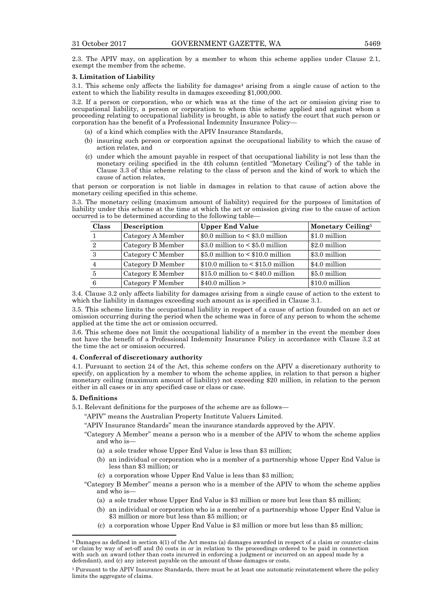2.3. The APIV may, on application by a member to whom this scheme applies under Clause 2.1, exempt the member from the scheme.

#### **3. Limitation of Liability**

3.1. This scheme only affects the liability for damages<sup>4</sup> arising from a single cause of action to the extent to which the liability results in damages exceeding \$1,000,000.

3.2. If a person or corporation, who or which was at the time of the act or omission giving rise to occupational liability, a person or corporation to whom this scheme applied and against whom a proceeding relating to occupational liability is brought, is able to satisfy the court that such person or corporation has the benefit of a Professional Indemnity Insurance Policy—

- (a) of a kind which complies with the APIV Insurance Standards,
- (b) insuring such person or corporation against the occupational liability to which the cause of action relates, and
- (c) under which the amount payable in respect of that occupational liability is not less than the monetary ceiling specified in the 4th column (entitled "Monetary Ceiling") of the table in Clause 3.3 of this scheme relating to the class of person and the kind of work to which the cause of action relates,

that person or corporation is not liable in damages in relation to that cause of action above the monetary ceiling specified in this scheme.

3.3. The monetary ceiling (maximum amount of liability) required for the purposes of limitation of liability under this scheme at the time at which the act or omission giving rise to the cause of action occurred is to be determined according to the following table—

| <b>Class</b>   | Description       | <b>Upper End Value</b>                 | Monetary Ceiling <sup>5</sup> |
|----------------|-------------------|----------------------------------------|-------------------------------|
|                | Category A Member | \$0.0 million to $<$ \$3.0 million     | \$1.0 million                 |
| $\overline{2}$ | Category B Member | \$3.0 million to $< $5.0$ million      | \$2.0 million                 |
| 3              | Category C Member | \$5.0 million to $\leq$ \$10.0 million | \$3.0 million                 |
|                | Category D Member | $$10.0$ million to < \$15.0 million    | \$4.0 million                 |
| 5              | Category E Member | $$15.0$ million to < $$40.0$ million   | \$5.0 million                 |
| 6              | Category F Member | $$40.0$ million $>$                    | \$10.0 million                |

3.4. Clause 3.2 only affects liability for damages arising from a single cause of action to the extent to which the liability in damages exceeding such amount as is specified in Clause 3.1.

3.5. This scheme limits the occupational liability in respect of a cause of action founded on an act or omission occurring during the period when the scheme was in force of any person to whom the scheme applied at the time the act or omission occurred.

3.6. This scheme does not limit the occupational liability of a member in the event the member does not have the benefit of a Professional Indemnity Insurance Policy in accordance with Clause 3.2 at the time the act or omission occurred.

#### **4. Conferral of discretionary authority**

4.1. Pursuant to section 24 of the Act, this scheme confers on the APIV a discretionary authority to specify, on application by a member to whom the scheme applies, in relation to that person a higher monetary ceiling (maximum amount of liability) not exceeding \$20 million, in relation to the person either in all cases or in any specified case or class or case.

#### **5. Definitions**

 $\overline{a}$ 

5.1. Relevant definitions for the purposes of the scheme are as follows—

"APIV" means the Australian Property Institute Valuers Limited.

- "APIV Insurance Standards" mean the insurance standards approved by the APIV.
- "Category A Member" means a person who is a member of the APIV to whom the scheme applies and who is—
	- (a) a sole trader whose Upper End Value is less than \$3 million;
	- (b) an individual or corporation who is a member of a partnership whose Upper End Value is less than \$3 million; or
	- (c) a corporation whose Upper End Value is less than \$3 million;
- "Category B Member" means a person who is a member of the APIV to whom the scheme applies and who is—
	- (a) a sole trader whose Upper End Value is \$3 million or more but less than \$5 million;
	- (b) an individual or corporation who is a member of a partnership whose Upper End Value is \$3 million or more but less than \$5 million; or
	- (c) a corporation whose Upper End Value is \$3 million or more but less than \$5 million;

<sup>4</sup> Damages as defined in section 4(1) of the Act means (a) damages awarded in respect of a claim or counter-claim or claim by way of set-off and (b) costs in or in relation to the proceedings ordered to be paid in connection with such an award (other than costs incurred in enforcing a judgment or incurred on an appeal made by a defendant), and (c) any interest payable on the amount of those damages or costs.

<sup>5</sup> Pursuant to the APIV Insurance Standards, there must be at least one automatic reinstatement where the policy limits the aggregate of claims.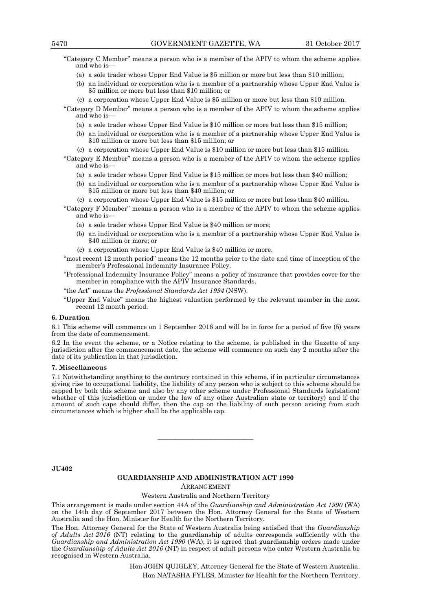"Category C Member" means a person who is a member of the APIV to whom the scheme applies and who is—

- (a) a sole trader whose Upper End Value is \$5 million or more but less than \$10 million;
- (b) an individual or corporation who is a member of a partnership whose Upper End Value is \$5 million or more but less than \$10 million; or
- (c) a corporation whose Upper End Value is \$5 million or more but less than \$10 million.

"Category D Member" means a person who is a member of the APIV to whom the scheme applies and who is—

- (a) a sole trader whose Upper End Value is \$10 million or more but less than \$15 million;
- (b) an individual or corporation who is a member of a partnership whose Upper End Value is \$10 million or more but less than \$15 million; or
- (c) a corporation whose Upper End Value is \$10 million or more but less than \$15 million.
- "Category E Member" means a person who is a member of the APIV to whom the scheme applies and who is—
	- (a) a sole trader whose Upper End Value is \$15 million or more but less than \$40 million;
	- (b) an individual or corporation who is a member of a partnership whose Upper End Value is \$15 million or more but less than \$40 million; or
	- (c) a corporation whose Upper End Value is \$15 million or more but less than \$40 million.
- "Category F Member" means a person who is a member of the APIV to whom the scheme applies and who is—
	- (a) a sole trader whose Upper End Value is \$40 million or more;
	- (b) an individual or corporation who is a member of a partnership whose Upper End Value is \$40 million or more; or
	- (c) a corporation whose Upper End Value is \$40 million or more.
- "most recent 12 month period" means the 12 months prior to the date and time of inception of the member's Professional Indemnity Insurance Policy.
- "Professional Indemnity Insurance Policy" means a policy of insurance that provides cover for the member in compliance with the APIV Insurance Standards.
- "the Act" means the *Professional Standards Act 1994* (NSW).
- "Upper End Value" means the highest valuation performed by the relevant member in the most recent 12 month period.

#### **6. Duration**

6.1 This scheme will commence on 1 September 2016 and will be in force for a period of five (5) years from the date of commencement.

6.2 In the event the scheme, or a Notice relating to the scheme, is published in the Gazette of any jurisdiction after the commencement date, the scheme will commence on such day 2 months after the date of its publication in that jurisdiction.

#### **7. Miscellaneous**

7.1 Notwithstanding anything to the contrary contained in this scheme, if in particular circumstances giving rise to occupational liability, the liability of any person who is subject to this scheme should be capped by both this scheme and also by any other scheme under Professional Standards legislation) whether of this jurisdiction or under the law of any other Australian state or territory) and if the amount of such caps should differ, then the cap on the liability of such person arising from such circumstances which is higher shall be the applicable cap.

————————————————————

**JU402**

#### **GUARDIANSHIP AND ADMINISTRATION ACT 1990** ARRANGEMENT

#### Western Australia and Northern Territory

This arrangement is made under section 44A of the *Guardianship and Administration Act 1990* (WA) on the 14th day of September 2017 between the Hon. Attorney General for the State of Western Australia and the Hon. Minister for Health for the Northern Territory.

The Hon. Attorney General for the State of Western Australia being satisfied that the *Guardianship of Adults Act 2016* (NT) relating to the guardianship of adults corresponds sufficiently with the *Guardianship and Administration Act 1990* (WA), it is agreed that guardianship orders made under the *Guardianship of Adults Act 2016* (NT) in respect of adult persons who enter Western Australia be recognised in Western Australia.

> Hon JOHN QUIGLEY, Attorney General for the State of Western Australia. Hon NATASHA FYLES, Minister for Health for the Northern Territory.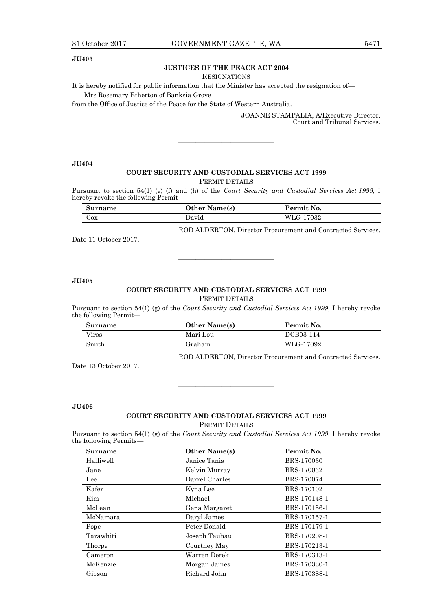#### **JU403**

#### **JUSTICES OF THE PEACE ACT 2004**

RESIGNATIONS

It is hereby notified for public information that the Minister has accepted the resignation of—

Mrs Rosemary Etherton of Banksia Grove

from the Office of Justice of the Peace for the State of Western Australia.

JOANNE STAMPALIA, A/Executive Director, Court and Tribunal Services.

**JU404**

#### **COURT SECURITY AND CUSTODIAL SERVICES ACT 1999** PERMIT DETAILS

 $\frac{1}{\sqrt{2}}$  ,  $\frac{1}{\sqrt{2}}$  ,  $\frac{1}{\sqrt{2}}$  ,  $\frac{1}{\sqrt{2}}$  ,  $\frac{1}{\sqrt{2}}$  ,  $\frac{1}{\sqrt{2}}$  ,  $\frac{1}{\sqrt{2}}$  ,  $\frac{1}{\sqrt{2}}$  ,  $\frac{1}{\sqrt{2}}$  ,  $\frac{1}{\sqrt{2}}$  ,  $\frac{1}{\sqrt{2}}$  ,  $\frac{1}{\sqrt{2}}$  ,  $\frac{1}{\sqrt{2}}$  ,  $\frac{1}{\sqrt{2}}$  ,  $\frac{1}{\sqrt{2}}$ 

Pursuant to section 54(1) (e) (f) and (h) of the *Court Security and Custodial Services Act 1999*, I hereby revoke the following Permit-

| Surname | <b>Other Name(s)</b> | Permit No. |
|---------|----------------------|------------|
| $\cos$  | David                | WLG-17032  |

ROD ALDERTON, Director Procurement and Contracted Services.

Date 11 October 2017.

#### **JU405**

# **COURT SECURITY AND CUSTODIAL SERVICES ACT 1999**

———————————

PERMIT DETAILS

Pursuant to section 54(1) (g) of the *Court Security and Custodial Services Act 1999*, I hereby revoke the following Permit—

| Surname | <b>Other Name(s)</b> | Permit No. |
|---------|----------------------|------------|
| Viros   | Mari Lou             | DCB03-114  |
| Smith   | Graham               | WLG-17092  |

ROD ALDERTON, Director Procurement and Contracted Services.

Date 13 October 2017.

**JU406**

# **COURT SECURITY AND CUSTODIAL SERVICES ACT 1999**

———————————

PERMIT DETAILS

Pursuant to section 54(1) (g) of the *Court Security and Custodial Services Act 1999*, I hereby revoke the following Permits—

| <b>Surname</b> | <b>Other Name(s)</b> | Permit No.   |
|----------------|----------------------|--------------|
| Halliwell      | Janice Tania         | BRS-170030   |
| Jane           | Kelvin Murray        | BRS-170032   |
| Lee            | Darrel Charles       | BRS-170074   |
| Kafer          | Kyna Lee             | BRS-170102   |
| Kim            | Michael              | BRS-170148-1 |
| McLean         | Gena Margaret        | BRS-170156-1 |
| McNamara       | Daryl James          | BRS-170157-1 |
| Pope           | Peter Donald         | BRS-170179-1 |
| Tarawhiti      | Joseph Tauhau        | BRS-170208-1 |
| Thorpe         | Courtney May         | BRS-170213-1 |
| Cameron        | Warren Derek         | BRS-170313-1 |
| McKenzie       | Morgan James         | BRS-170330-1 |
| Gibson         | Richard John         | BRS-170388-1 |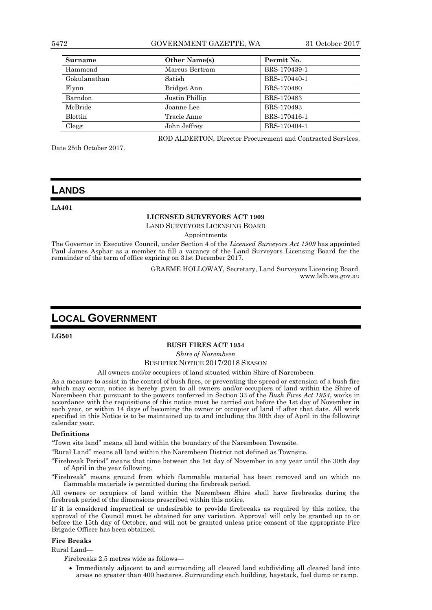5472 GOVERNMENT GAZETTE, WA 31 October 2017

| <b>Surname</b> | <b>Other Name(s)</b> | Permit No.   |
|----------------|----------------------|--------------|
| Hammond        | Marcus Bertram       | BRS-170439-1 |
| Gokulanathan   | Satish               | BRS-170440-1 |
| Flynn          | Bridget Ann          | BRS-170480   |
| Barndon        | Justin Phillip       | BRS-170483   |
| McBride        | Joanne Lee           | BRS-170493   |
| <b>Blottin</b> | Tracie Anne          | BRS-170416-1 |
| Clegg          | John Jeffrey         | BRS-170404-1 |

Date 25th October 2017.

ROD ALDERTON, Director Procurement and Contracted Services.

# **LANDS**

**LA401**

### **LICENSED SURVEYORS ACT 1909**

LAND SURVEYORS LICENSING BOARD

Appointments

The Governor in Executive Council, under Section 4 of the *Licensed Surveyors Act 1909* has appointed Paul James Asphar as a member to fill a vacancy of the Land Surveyors Licensing Board for the remainder of the term of office expiring on 31st December 2017.

> GRAEME HOLLOWAY, Secretary, Land Surveyors Licensing Board. www.lslb.wa.gov.au

# **LOCAL GOVERNMENT**

**LG501**

#### **BUSH FIRES ACT 1954**

*Shire of Narembeen*

BUSHFIRE NOTICE 2017/2018 SEASON

#### All owners and/or occupiers of land situated within Shire of Narembeen

As a measure to assist in the control of bush fires, or preventing the spread or extension of a bush fire which may occur, notice is hereby given to all owners and/or occupiers of land within the Shire of Narembeen that pursuant to the powers conferred in Section 33 of the *Bush Fires Act 1954*, works in accordance with the requisitions of this notice must be carried out before the 1st day of November in each year, or within 14 days of becoming the owner or occupier of land if after that date. All work specified in this Notice is to be maintained up to and including the 30th day of April in the following calendar year.

#### **Definitions**

*"*Town site land" means all land within the boundary of the Narembeen Townsite.

"Rural Land" means all land within the Narembeen District not defined as Townsite.

"Firebreak Period" means that time between the 1st day of November in any year until the 30th day of April in the year following.

"Firebreak" means ground from which flammable material has been removed and on which no flammable materials is permitted during the firebreak period.

All owners or occupiers of land within the Narembeen Shire shall have firebreaks during the firebreak period of the dimensions prescribed within this notice.

If it is considered impractical or undesirable to provide firebreaks as required by this notice, the approval of the Council must be obtained for any variation. Approval will only be granted up to or before the 15th day of October, and will not be granted unless prior consent of the appropriate Fire Brigade Officer has been obtained.

#### **Fire Breaks**

Rural Land—

Firebreaks 2.5 metres wide as follows—

 Immediately adjacent to and surrounding all cleared land subdividing all cleared land into areas no greater than 400 hectares. Surrounding each building, haystack, fuel dump or ramp.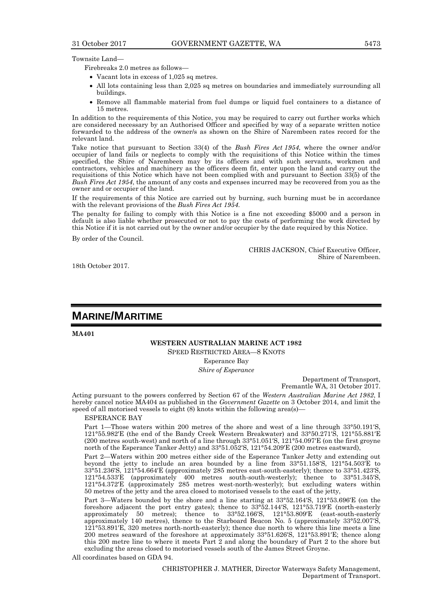Firebreaks 2.0 metres as follows—

- Vacant lots in excess of 1,025 sq metres.
- All lots containing less than 2,025 sq metres on boundaries and immediately surrounding all buildings.
- Remove all flammable material from fuel dumps or liquid fuel containers to a distance of 15 metres.

In addition to the requirements of this Notice, you may be required to carry out further works which are considered necessary by an Authorised Officer and specified by way of a separate written notice forwarded to the address of the owner/s as shown on the Shire of Narembeen rates record for the relevant land.

Take notice that pursuant to Section 33(4) of the *Bush Fires Act 1954*, where the owner and/or occupier of land fails or neglects to comply with the requisitions of this Notice within the times specified, the Shire of Narembeen may by its officers and with such servants, workmen and contractors, vehicles and machinery as the officers deem fit, enter upon the land and carry out the requisitions of this Notice which have not been complied with and pursuant to Section 33(5) of the *Bush Fires Act 1954*, the amount of any costs and expenses incurred may be recovered from you as the owner and or occupier of the land.

If the requirements of this Notice are carried out by burning, such burning must be in accordance with the relevant provisions of the *Bush Fires Act 1954*.

The penalty for failing to comply with this Notice is a fine not exceeding \$5000 and a person in default is also liable whether prosecuted or not to pay the costs of performing the work directed by this Notice if it is not carried out by the owner and/or occupier by the date required by this Notice.

By order of the Council.

CHRIS JACKSON, Chief Executive Officer, Shire of Narembeen.

18th October 2017.

# **MARINE/MARITIME**

**MA401**

#### **WESTERN AUSTRALIAN MARINE ACT 1982** SPEED RESTRICTED AREA—8 KNOTS

Esperance Bay

*Shire of Esperance*

Department of Transport, Fremantle WA, 31 October 2017.

Acting pursuant to the powers conferred by Section 67 of the *Western Australian Marine Act 1982*, I hereby cancel notice MA404 as published in the *Government Gazette* on 3 October 2014, and limit the speed of all motorised vessels to eight (8) knots within the following area(s)—

#### ESPERANCE BAY

Part 1—Those waters within 200 metres of the shore and west of a line through 33°50.191′S, 121°55.982′E (the end of the Bandy Creek Western Breakwater) and 33°50.271′S, 121°55.881′E (200 metres south-west) and north of a line through 33°51.051′S, 121°54.097′E (on the first groyne north of the Esperance Tanker Jetty) and 33°51.052′S, 121°54.209′E (200 metres eastward),

Part 2—Waters within 200 metres either side of the Esperance Tanker Jetty and extending out beyond the jetty to include an area bounded by a line from 33°51.158′S, 121°54.503′E to 33°51.236′S, 121°54.664′E (approximately 285 metres east-south-easterly); thence to 33°51.423′S, 121°54.533′E (approximately 400 metres south-south-westerly); thence to 33°51.345′S, 121°54.372′E (approximately 285 metres west-north-westerly); but excluding waters within 50 metres of the jetty and the area closed to motorised vessels to the east of the jetty,

Part 3—Waters bounded by the shore and a line starting at 33°52.164′S, 121°53.696′E (on the foreshore adjacent the port entry gates); thence to 33°52.144′S, 121°53.719′E (north-easterly approximately 50 metres); thence to 33°52.166′S, 121°53.809′E (east-south-easterly approximately 140 metres), thence to the Starboard Beacon No. 5 (approximately 33°52.007′S, 121°53.891′E, 320 metres north-north-easterly); thence due north to where this line meets a line 200 metres seaward of the foreshore at approximately 33°51.626′S, 121°53.891′E; thence along this 200 metre line to where it meets Part 2 and along the boundary of Part 2 to the shore but excluding the areas closed to motorised vessels south of the James Street Groyne.

All coordinates based on GDA 94.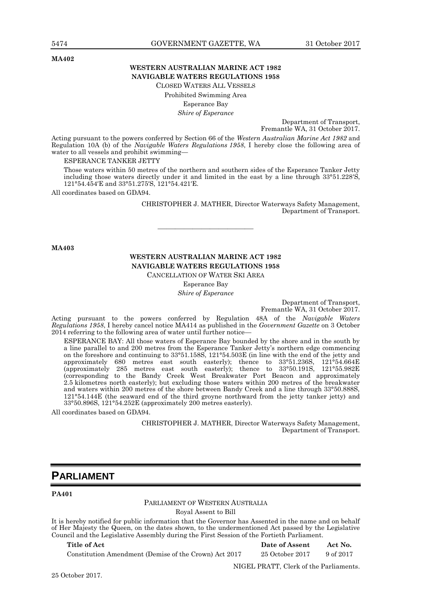#### **MA402**

#### **WESTERN AUSTRALIAN MARINE ACT 1982 NAVIGABLE WATERS REGULATIONS 1958** CLOSED WATERS ALL VESSELS

Prohibited Swimming Area Esperance Bay *Shire of Esperance*

Department of Transport,

Fremantle WA, 31 October 2017.

Acting pursuant to the powers conferred by Section 66 of the *Western Australian Marine Act 1982* and Regulation 10A (b) of the *Navigable Waters Regulations 1958*, I hereby close the following area of water to all vessels and prohibit swimming—

ESPERANCE TANKER JETTY

Those waters within 50 metres of the northern and southern sides of the Esperance Tanker Jetty including those waters directly under it and limited in the east by a line through 33°51.228′S, 121°54.454′E and 33°51.275′S, 121°54.421′E.

All coordinates based on GDA94.

CHRISTOPHER J. MATHER, Director Waterways Safety Management, Department of Transport.

**MA403**

# **WESTERN AUSTRALIAN MARINE ACT 1982 NAVIGABLE WATERS REGULATIONS 1958**

———————————

CANCELLATION OF WATER SKI AREA

Esperance Bay

*Shire of Esperance*

Department of Transport, Fremantle WA, 31 October 2017.

Acting pursuant to the powers conferred by Regulation 48A of the *Navigable Waters Regulations 1958*, I hereby cancel notice MA414 as published in the *Government Gazette* on 3 October 2014 referring to the following area of water until further notice—

ESPERANCE BAY: All those waters of Esperance Bay bounded by the shore and in the south by a line parallel to and 200 metres from the Esperance Tanker Jetty's northern edge commencing on the foreshore and continuing to 33°51.158S, 121°54.503E (in line with the end of the jetty and approximately 680 metres east south easterly); thence to 33°51.236S, 121°54.664E (approximately 285 metres east south easterly); thence to 33°50.191S, 121°55.982E (corresponding to the Bandy Creek West Breakwater Port Beacon and approximately 2.5 kilometres north easterly); but excluding those waters within 200 metres of the breakwater and waters within 200 metres of the shore between Bandy Creek and a line through 33°50.888S, 121°54.144E (the seaward end of the third groyne northward from the jetty tanker jetty) and 33°50.896S, 121°54.252E (approximately 200 metres easterly).

All coordinates based on GDA94.

CHRISTOPHER J. MATHER, Director Waterways Safety Management, Department of Transport.

# **PARLIAMENT**

#### **PA401**

#### PARLIAMENT OF WESTERN AUSTRALIA Royal Assent to Bill

It is hereby notified for public information that the Governor has Assented in the name and on behalf of Her Majesty the Queen, on the dates shown, to the undermentioned Act passed by the Legislative Council and the Legislative Assembly during the First Session of the Fortieth Parliament.

Constitution Amendment (Demise of the Crown) Act 2017 25 October 2017 9 of 2017

**Title of Act Date of Assent Act No.**

NIGEL PRATT, Clerk of the Parliaments.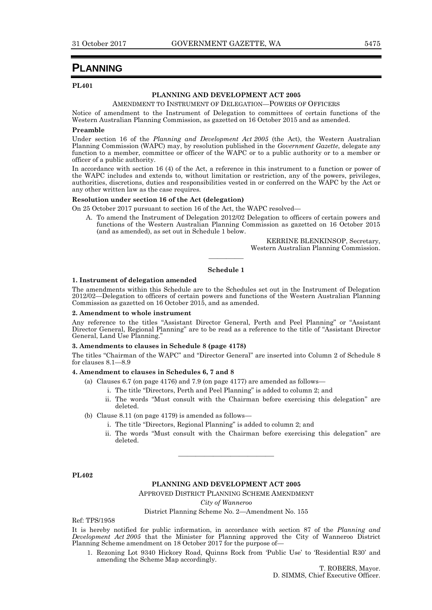# **PLANNING**

#### **PL401**

#### **PLANNING AND DEVELOPMENT ACT 2005**

AMENDMENT TO INSTRUMENT OF DELEGATION—POWERS OF OFFICERS

Notice of amendment to the Instrument of Delegation to committees of certain functions of the Western Australian Planning Commission, as gazetted on 16 October 2015 and as amended.

#### **Preamble**

Under section 16 of the *Planning and Development Act 2005* (the Act), the Western Australian Planning Commission (WAPC) may, by resolution published in the *Government Gazette*, delegate any function to a member, committee or officer of the WAPC or to a public authority or to a member or officer of a public authority.

In accordance with section 16 (4) of the Act, a reference in this instrument to a function or power of the WAPC includes and extends to, without limitation or restriction, any of the powers, privileges, authorities, discretions, duties and responsibilities vested in or conferred on the WAPC by the Act or any other written law as the case requires.

#### **Resolution under section 16 of the Act (delegation)**

On 25 October 2017 pursuant to section 16 of the Act, the WAPC resolved—

A. To amend the Instrument of Delegation 2012/02 Delegation to officers of certain powers and functions of the Western Australian Planning Commission as gazetted on 16 October 2015 (and as amended), as set out in Schedule 1 below.

> KERRINE BLENKINSOP, Secretary, Western Australian Planning Commission.

# ———— **Schedule 1**

#### **1. Instrument of delegation amended**

The amendments within this Schedule are to the Schedules set out in the Instrument of Delegation 2012/02—Delegation to officers of certain powers and functions of the Western Australian Planning Commission as gazetted on 16 October 2015, and as amended.

#### **2. Amendment to whole instrument**

Any reference to the titles "Assistant Director General, Perth and Peel Planning" or "Assistant Director General, Regional Planning" are to be read as a reference to the title of "Assistant Director General, Land Use Planning."

#### **3. Amendments to clauses in Schedule 8 (page 4178)**

The titles "Chairman of the WAPC" and "Director General" are inserted into Column 2 of Schedule 8 for clauses 8.1—8.9

#### **4. Amendment to clauses in Schedules 6, 7 and 8**

- (a) Clauses 6.7 (on page  $4176$ ) and 7.9 (on page  $4177$ ) are amended as follows–
	- i. The title "Directors, Perth and Peel Planning" is added to column 2; and
	- ii. The words "Must consult with the Chairman before exercising this delegation" are deleted.
- (b) Clause 8.11 (on page 4179) is amended as follows
	- i. The title "Directors, Regional Planning" is added to column 2; and
	- ii. The words "Must consult with the Chairman before exercising this delegation" are deleted.

**PL402**

#### **PLANNING AND DEVELOPMENT ACT 2005**

———————————

APPROVED DISTRICT PLANNING SCHEME AMENDMENT

*City of Wanneroo*

District Planning Scheme No. 2—Amendment No. 155

Ref: TPS/1958

It is hereby notified for public information, in accordance with section 87 of the *Planning and Development Act 2005* that the Minister for Planning approved the City of Wanneroo District Planning Scheme amendment on 18 October 2017 for the purpose of—

1. Rezoning Lot 9340 Hickory Road, Quinns Rock from 'Public Use' to 'Residential R30' and amending the Scheme Map accordingly.

> T. ROBERS, Mayor. D. SIMMS, Chief Executive Officer.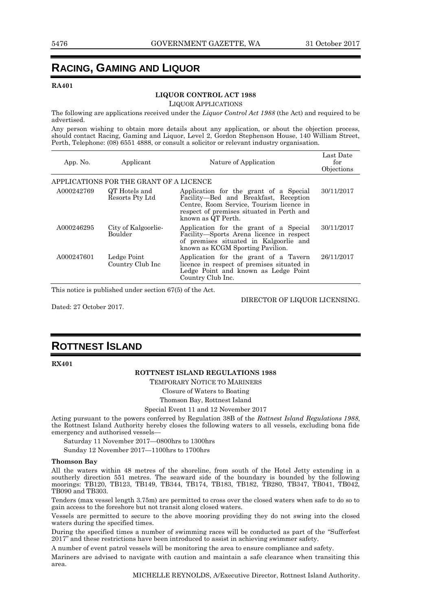# **RACING, GAMING AND LIQUOR**

#### **RA401**

#### **LIQUOR CONTROL ACT 1988**

LIQUOR APPLICATIONS

The following are applications received under the *Liquor Control Act 1988* (the Act) and required to be advertised.

Any person wishing to obtain more details about any application, or about the objection process, should contact Racing, Gaming and Liquor, Level 2, Gordon Stephenson House, 140 William Street, Perth, Telephone: (08) 6551 4888, or consult a solicitor or relevant industry organisation.

| App. No.   | Applicant                               | Nature of Application                                                                                                                                                                          | Last Date<br>for<br>Objections |
|------------|-----------------------------------------|------------------------------------------------------------------------------------------------------------------------------------------------------------------------------------------------|--------------------------------|
|            | APPLICATIONS FOR THE GRANT OF A LICENCE |                                                                                                                                                                                                |                                |
| A000242769 | QT Hotels and<br>Resorts Pty Ltd        | Application for the grant of a Special<br>Facility—Bed and Breakfast, Reception<br>Centre, Room Service, Tourism licence in<br>respect of premises situated in Perth and<br>known as QT Perth. | 30/11/2017                     |
| A000246295 | City of Kalgoorlie-<br>Boulder          | Application for the grant of a Special<br>Facility—Sports Arena licence in respect<br>of premises situated in Kalgoorlie and<br>known as KCGM Sporting Pavilion.                               | 30/11/2017                     |
| A000247601 | Ledge Point<br>Country Club Inc         | Application for the grant of a Tavern<br>licence in respect of premises situated in<br>Ledge Point and known as Ledge Point<br>Country Club Inc.                                               | 26/11/2017                     |

This notice is published under section 67(5) of the Act.

Dated: 27 October 2017.

DIRECTOR OF LIQUOR LICENSING.

# **ROTTNEST ISLAND**

**RX401**

#### **ROTTNEST ISLAND REGULATIONS 1988**

TEMPORARY NOTICE TO MARINERS

Closure of Waters to Boating

Thomson Bay, Rottnest Island

Special Event 11 and 12 November 2017

Acting pursuant to the powers conferred by Regulation 38B of the *Rottnest Island Regulations 1988*, the Rottnest Island Authority hereby closes the following waters to all vessels, excluding bona fide emergency and authorised vessels—

Saturday 11 November 2017—0800hrs to 1300hrs

Sunday 12 November 2017—1100hrs to 1700hrs

#### **Thomson Bay**

All the waters within 48 metres of the shoreline, from south of the Hotel Jetty extending in a southerly direction 551 metres. The seaward side of the boundary is bounded by the following moorings: TB120, TB123, TB149, TB344, TB174, TB183, TB182, TB280, TB347, TB041, TB042, TB090 and TB303.

Tenders (max vessel length 3.75m) are permitted to cross over the closed waters when safe to do so to gain access to the foreshore but not transit along closed waters.

Vessels are permitted to secure to the above mooring providing they do not swing into the closed waters during the specified times.

During the specified times a number of swimming races will be conducted as part of the "Sufferfest 2017" and these restrictions have been introduced to assist in achieving swimmer safety.

A number of event patrol vessels will be monitoring the area to ensure compliance and safety.

Mariners are advised to navigate with caution and maintain a safe clearance when transiting this area.

MICHELLE REYNOLDS, A/Executive Director, Rottnest Island Authority.